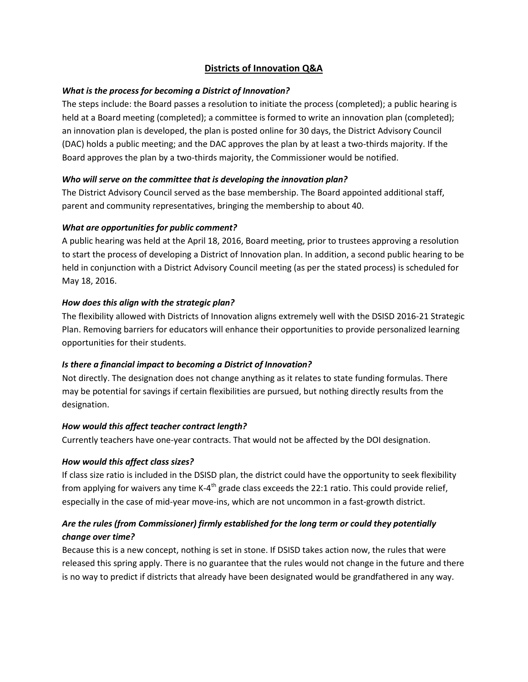## **Districts of Innovation Q&A**

## *What is the process for becoming a District of Innovation?*

The steps include: the Board passes a resolution to initiate the process (completed); a public hearing is held at a Board meeting (completed); a committee is formed to write an innovation plan (completed); an innovation plan is developed, the plan is posted online for 30 days, the District Advisory Council (DAC) holds a public meeting; and the DAC approves the plan by at least a two-thirds majority. If the Board approves the plan by a two-thirds majority, the Commissioner would be notified.

## *Who will serve on the committee that is developing the innovation plan?*

The District Advisory Council served as the base membership. The Board appointed additional staff, parent and community representatives, bringing the membership to about 40.

## *What are opportunities for public comment?*

A public hearing was held at the April 18, 2016, Board meeting, prior to trustees approving a resolution to start the process of developing a District of Innovation plan. In addition, a second public hearing to be held in conjunction with a District Advisory Council meeting (as per the stated process) is scheduled for May 18, 2016.

## *How does this align with the strategic plan?*

The flexibility allowed with Districts of Innovation aligns extremely well with the DSISD 2016-21 Strategic Plan. Removing barriers for educators will enhance their opportunities to provide personalized learning opportunities for their students.

## *Is there a financial impact to becoming a District of Innovation?*

Not directly. The designation does not change anything as it relates to state funding formulas. There may be potential for savings if certain flexibilities are pursued, but nothing directly results from the designation.

#### *How would this affect teacher contract length?*

Currently teachers have one-year contracts. That would not be affected by the DOI designation.

#### *How would this affect class sizes?*

If class size ratio is included in the DSISD plan, the district could have the opportunity to seek flexibility from applying for waivers any time K-4<sup>th</sup> grade class exceeds the 22:1 ratio. This could provide relief, especially in the case of mid-year move-ins, which are not uncommon in a fast-growth district.

# *Are the rules (from Commissioner) firmly established for the long term or could they potentially change over time?*

Because this is a new concept, nothing is set in stone. If DSISD takes action now, the rules that were released this spring apply. There is no guarantee that the rules would not change in the future and there is no way to predict if districts that already have been designated would be grandfathered in any way.